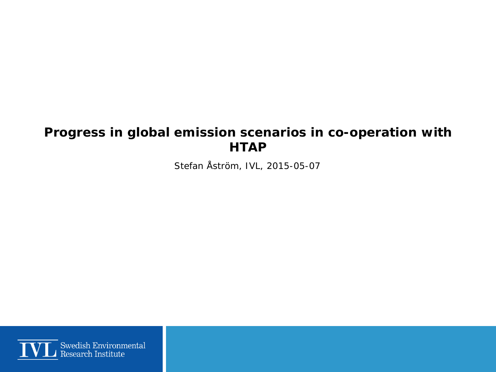#### **Progress in global emission scenarios in co-operation with HTAP**

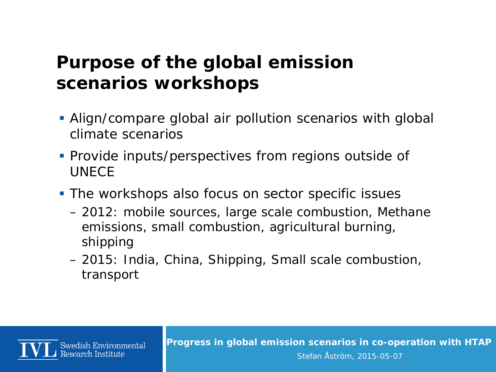## **Purpose of the global emission scenarios workshops**

- Align/compare global air pollution scenarios with global climate scenarios
- Provide inputs/perspectives from regions outside of UNECE
- **The workshops also focus on sector specific issues** 
	- 2012: mobile sources, large scale combustion, Methane emissions, small combustion, agricultural burning, shipping
	- 2015: India, China, Shipping, Small scale combustion, transport

Swedish Environmental Research Institute

**Progress in global emission scenarios in co-operation with HTAP**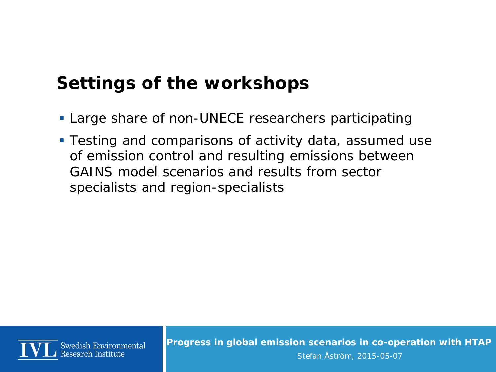## **Settings of the workshops**

- **Large share of non-UNECE researchers participating**
- **Testing and comparisons of activity data, assumed use** of emission control and resulting emissions between GAINS model scenarios and results from sector specialists and region-specialists



**Progress in global emission scenarios in co-operation with HTAP**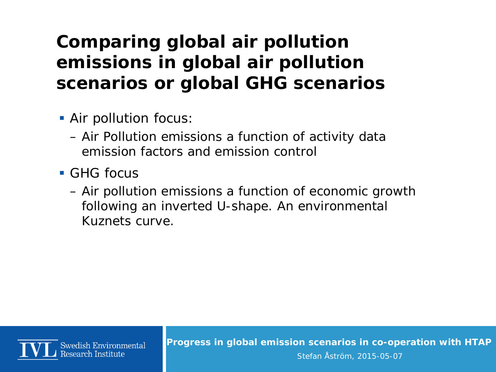# **Comparing global air pollution emissions in global air pollution scenarios or global GHG scenarios**

- Air pollution focus:
	- Air Pollution emissions a function of activity data emission factors and emission control
- GHG focus
	- Air pollution emissions a function of economic growth following an inverted U-shape. An environmental Kuznets curve.



**Progress in global emission scenarios in co-operation with HTAP**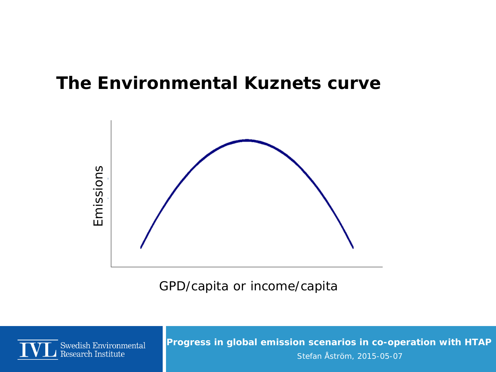### **The Environmental Kuznets curve**



GPD/capita or income/capita



**Progress in global emission scenarios in co-operation with HTAP**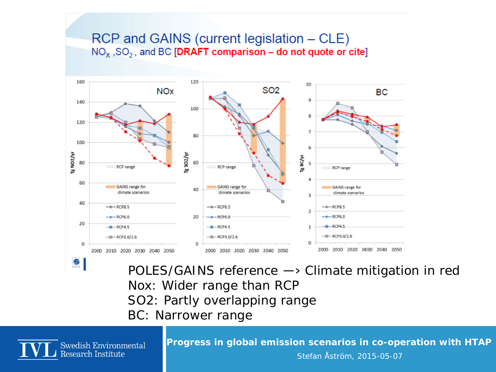#### RCP and GAINS (current legislation – CLE)  $NO<sub>x</sub>$ , SO<sub>2</sub>, and BC [DRAFT comparison – do not quote or cite]



POLES/GAINS reference ―› Climate mitigation in red Nox: Wider range than RCP SO2: Partly overlapping range

BC: Narrower range



**Progress in global emission scenarios in co-operation with HTAP**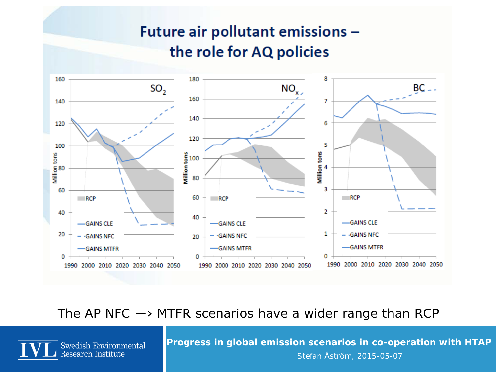### Future air pollutant emissions the role for AQ policies



The AP NFC  $\rightarrow$  MTFR scenarios have a wider range than RCP

**Swedish Environmental** Research Institute

**Progress in global emission scenarios in co-operation with HTAP**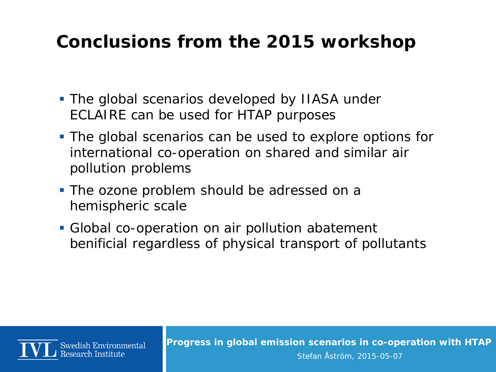## **Conclusions from the 2015 workshop**

- The global scenarios developed by IIASA under ECLAIRE can be used for HTAP purposes
- The global scenarios can be used to explore options for international co-operation on shared and similar air pollution problems
- **The ozone problem should be adressed on a** hemispheric scale
- Global co-operation on air pollution abatement benificial regardless of physical transport of pollutants



**Progress in global emission scenarios in co-operation with HTAP**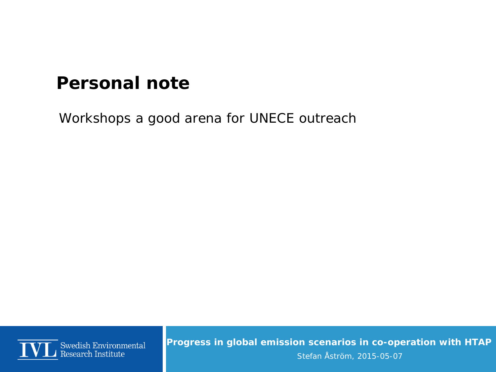## **Personal note**

Workshops a good arena for UNECE outreach



**Progress in global emission scenarios in co-operation with HTAP**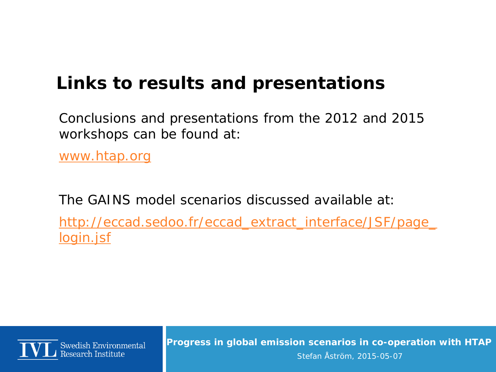## **Links to results and presentations**

Conclusions and presentations from the 2012 and 2015 workshops can be found at:

[www.htap.org](http://www.htap.org/)

The GAINS model scenarios discussed available at: [http://eccad.sedoo.fr/eccad\\_extract\\_interface/JSF/page\\_](http://eccad.sedoo.fr/eccad_extract_interface/JSF/page_login.jsf) [login.jsf](http://eccad.sedoo.fr/eccad_extract_interface/JSF/page_login.jsf)



**Progress in global emission scenarios in co-operation with HTAP**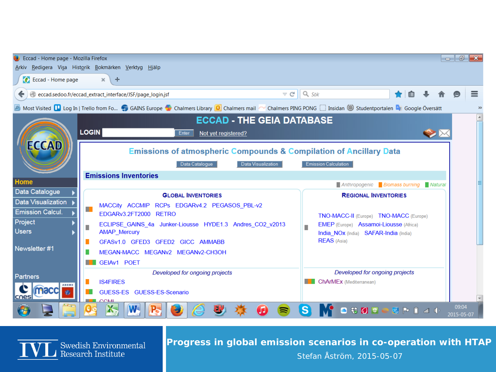| Eccad - Home page - Mozilla Firefox                                                                                                                                     |                                                                               |                                                                  |                                                                                                                           |        |  | $\Box$              | đ |
|-------------------------------------------------------------------------------------------------------------------------------------------------------------------------|-------------------------------------------------------------------------------|------------------------------------------------------------------|---------------------------------------------------------------------------------------------------------------------------|--------|--|---------------------|---|
| Redigera Visa Historik Bokmärken Verktyg Hjälp<br>Arkiv<br>$\bullet$<br>Eccad - Home page<br>$\times$<br>÷                                                              |                                                                               |                                                                  |                                                                                                                           |        |  |                     |   |
|                                                                                                                                                                         |                                                                               |                                                                  |                                                                                                                           |        |  |                     |   |
| $\vee$ G<br>eccad.sedoo.fr/eccad_extract_interface/JSF/page_login.jsf                                                                                                   |                                                                               | $\parallel$ Q Sök                                                |                                                                                                                           | 自<br>∙ |  |                     | ≡ |
| Most Visited Lug In   Trello from Fo GAINS Europe Containers Library D Chalmers mail of Chalmers PING PONG C Insidan Studentportalen Dr Google Översätt<br>$\mathbf{v}$ |                                                                               |                                                                  |                                                                                                                           |        |  |                     |   |
| <b>ECCAD - THE GEIA DATABASE</b>                                                                                                                                        |                                                                               |                                                                  |                                                                                                                           |        |  |                     |   |
|                                                                                                                                                                         | <b>LOGIN</b><br>Enter<br>Not yet registered?                                  |                                                                  |                                                                                                                           |        |  |                     |   |
| <b>ECCAD</b>                                                                                                                                                            |                                                                               |                                                                  |                                                                                                                           |        |  |                     |   |
|                                                                                                                                                                         | <b>Emissions of atmospheric Compounds &amp; Compilation of Ancillary Data</b> |                                                                  |                                                                                                                           |        |  |                     |   |
|                                                                                                                                                                         | <b>Emission Calculation</b><br>Data Catalogue<br>Data Visualization           |                                                                  |                                                                                                                           |        |  |                     |   |
| Home                                                                                                                                                                    | <b>Emissions Inventories</b>                                                  |                                                                  |                                                                                                                           |        |  |                     |   |
| Data Catalogue                                                                                                                                                          | Anthropogenic Biomass burning Natural                                         |                                                                  |                                                                                                                           |        |  |                     |   |
| Data Visualization                                                                                                                                                      | <b>GLOBAL INVENTORIES</b><br>MACCity ACCMIP RCPs EDGARv4.2 PEGASOS_PBL-v2     | <b>REGIONAL INVENTORIES</b>                                      |                                                                                                                           |        |  |                     |   |
| <b>Emission Calcul.</b>                                                                                                                                                 | m.<br>EDGARy3.2FT2000 RETRO                                                   |                                                                  | TNO-MACC-II (Europe) TNO-MACC (Europe)<br>EMEP (Europe) Assamoi-Liousse (Africa)<br>India NOx (India) SAFAR-India (India) |        |  |                     |   |
| Project                                                                                                                                                                 | ECLIPSE_GAINS_4a Junker-Liousse HYDE1.3 Andres_CO2_v2013                      |                                                                  |                                                                                                                           |        |  |                     |   |
| <b>Users</b><br>Newsletter #1                                                                                                                                           | <b>AMAP_Mercury</b>                                                           |                                                                  |                                                                                                                           |        |  |                     |   |
|                                                                                                                                                                         | GFASv1.0 GFED3 GFED2 GICC AMMABB                                              | <b>REAS</b> (Asia)                                               |                                                                                                                           |        |  |                     |   |
|                                                                                                                                                                         | MEGAN-MACC MEGANV2 MEGANV2-CH3OH                                              |                                                                  |                                                                                                                           |        |  |                     |   |
| Partners<br><b>ADEME</b><br>naccii<br>$\bullet$                                                                                                                         | GEIAv1 POET                                                                   |                                                                  |                                                                                                                           |        |  |                     |   |
|                                                                                                                                                                         | Developed for ongoing projects<br><b>IS4FIRES</b>                             | Developed for ongoing projects<br><b>ChArMEx</b> (Mediterranean) |                                                                                                                           |        |  |                     |   |
|                                                                                                                                                                         | GUESS-ES GUESS-ES-Scenario                                                    |                                                                  |                                                                                                                           |        |  |                     |   |
|                                                                                                                                                                         |                                                                               |                                                                  |                                                                                                                           |        |  |                     |   |
|                                                                                                                                                                         | R                                                                             |                                                                  | <b>0 \$ 2 日 - 週 P 日 コ 中</b>                                                                                               |        |  | 09:04<br>2015-05-07 |   |

 $\overline{\bf{V}}$  Swedish Environmental

**Progress in global emission scenarios in co-operation with HTAP**